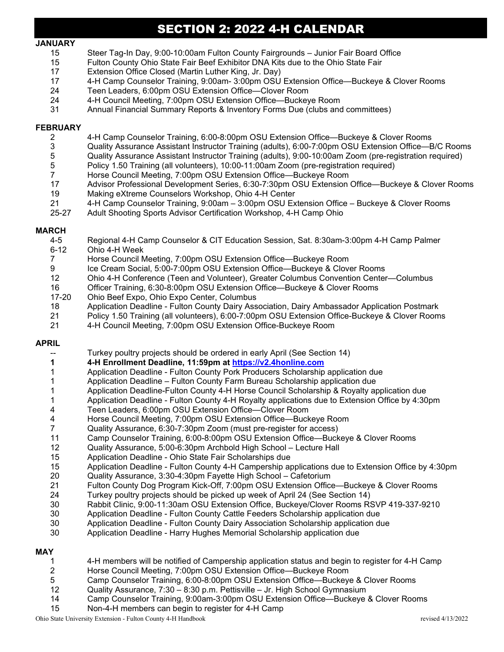# SECTION 2: 2022 4-H CALENDAR

#### **JANUARY**

- 15 Steer Tag-In Day, 9:00-10:00am Fulton County Fairgrounds Junior Fair Board Office
- 15 Fulton County Ohio State Fair Beef Exhibitor DNA Kits due to the Ohio State Fair
- 17 Extension Office Closed (Martin Luther King, Jr. Day)
- 17 4-H Camp Counselor Training, 9:00am- 3:00pm OSU Extension Office—Buckeye & Clover Rooms
- Teen Leaders, 6:00pm OSU Extension Office-Clover Room
- 24 4-H Council Meeting, 7:00pm OSU Extension Office—Buckeye Room
- 31 Annual Financial Summary Reports & Inventory Forms Due (clubs and committees)

## **FEBRUARY**

- 2 4-H Camp Counselor Training, 6:00-8:00pm OSU Extension Office—Buckeye & Clover Rooms
- 3 Quality Assurance Assistant Instructor Training (adults), 6:00-7:00pm OSU Extension Office—B/C Rooms
- 5 Quality Assurance Assistant Instructor Training (adults), 9:00-10:00am Zoom (pre-registration required)<br>5 Policy 1.50 Training (all volunteers), 10:00-11:00am Zoom (pre-registration required)
- 5 Policy 1.50 Training (all volunteers), 10:00-11:00am Zoom (pre-registration required)
- 7 Horse Council Meeting, 7:00pm OSU Extension Office—Buckeye Room
- 17 Advisor Professional Development Series, 6:30-7:30pm OSU Extension Office—Buckeye & Clover Rooms
- 19 Making eXtreme Counselors Workshop, Ohio 4-H Center
- 21 4-H Camp Counselor Training, 9:00am 3:00pm OSU Extension Office Buckeye & Clover Rooms<br>25-27 Adult Shooting Sports Advisor Certification Workshop. 4-H Camp Ohio
- Adult Shooting Sports Advisor Certification Workshop, 4-H Camp Ohio

# **MARCH**<br>4-5

- 4-5 Regional 4-H Camp Counselor & CIT Education Session, Sat. 8:30am-3:00pm 4-H Camp Palmer
- 6-12 Ohio 4-H Week<br>7 Horse Council N
- 7 Horse Council Meeting, 7:00pm OSU Extension Office—Buckeye Room
- 9 Ice Cream Social, 5:00-7:00pm OSU Extension Office—Buckeye & Clover Rooms<br>12 Ohio 4-H Conference (Teen and Volunteer), Greater Columbus Convention Center
- 12 Ohio 4-H Conference (Teen and Volunteer), Greater Columbus Convention Center—Columbus
- 16 Officer Training, 6:30-8:00pm OSU Extension Office—Buckeye & Clover Rooms<br>17-20 Ohio Beef Expo. Ohio Expo Center. Columbus
- 17-20 Ohio Beef Expo, Ohio Expo Center, Columbus
- 18 Application Deadline Fulton County Dairy Association, Dairy Ambassador Application Postmark
- 21 Policy 1.50 Training (all volunteers), 6:00-7:00pm OSU Extension Office-Buckeye & Clover Rooms
- 21 4-H Council Meeting, 7:00pm OSU Extension Office-Buckeye Room

## **APRIL**

- Turkey poultry projects should be ordered in early April (See Section 14)
- **1 4-H Enrollment Deadline, 11:59pm at [https://v2.4honline.com](https://v2.4honline.com/)**
- 1 Application Deadline Fulton County Pork Producers Scholarship application due
- 1 Application Deadline Fulton County Farm Bureau Scholarship application due
- 1 Application Deadline-Fulton County 4-H Horse Council Scholarship & Royalty application due
- 1 Application Deadline Fulton County 4-H Royalty applications due to Extension Office by 4:30pm<br>4 Teen Leaders 6:00pm OSU Extension Office—Clover Room
- 4 Teen Leaders, 6:00pm OSU Extension Office—Clover Room
- 4 Horse Council Meeting, 7:00pm OSU Extension Office—Buckeye Room
- 7 Quality Assurance, 6:30-7:30pm Zoom (must pre-register for access)
- Camp Counselor Training, 6:00-8:00pm OSU Extension Office—Buckeye & Clover Rooms
- 12 Quality Assurance, 5:00-6:30pm Archbold High School Lecture Hall
- 15 Application Deadline Ohio State Fair Scholarships due
- Application Deadline Fulton County 4-H Campership applications due to Extension Office by 4:30pm
- 20 Quality Assurance, 3:30-4:30pm Fayette High School Cafetorium
- 21 Fulton County Dog Program Kick-Off, 7:00pm OSU Extension Office—Buckeye & Clover Rooms<br>24 Turkey poultry projects should be picked up week of April 24 (See Section 14)
- 24 Turkey poultry projects should be picked up week of April 24 (See Section 14)
- 30 Rabbit Clinic, 9:00-11:30am OSU Extension Office, Buckeye/Clover Rooms RSVP 419-337-9210
- 30 Application Deadline Fulton County Cattle Feeders Scholarship application due
- 30 Application Deadline Fulton County Dairy Association Scholarship application due
- 30 Application Deadline Harry Hughes Memorial Scholarship application due

#### **MAY**

- 1 4-H members will be notified of Campership application status and begin to register for 4-H Camp
- 2 Horse Council Meeting, 7:00pm OSU Extension Office—Buckeye Room
- 5 Camp Counselor Training, 6:00-8:00pm OSU Extension Office—Buckeye & Clover Rooms
- 12 Quality Assurance, 7:30 8:30 p.m. Pettisville Jr. High School Gymnasium
- 14 Camp Counselor Training, 9:00am-3:00pm OSU Extension Office—Buckeye & Clover Rooms
- 15 Non-4-H members can begin to register for 4-H Camp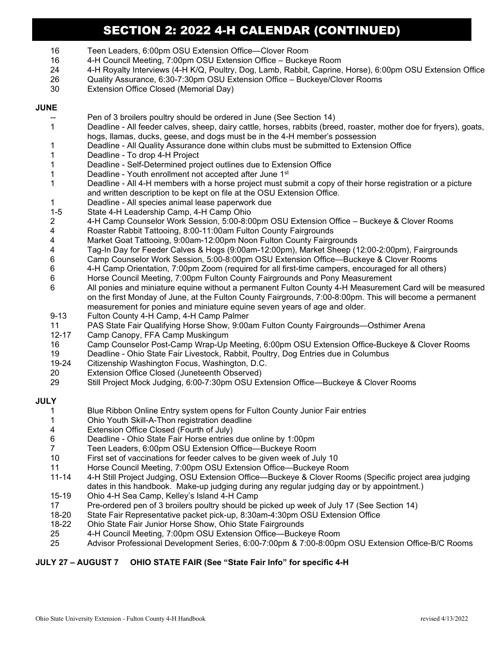# SECTION 2: 2022 4-H CALENDAR (CONTINUED)

- 16 Teen Leaders, 6:00pm OSU Extension Office—Clover Room
- 16 4-H Council Meeting, 7:00pm OSU Extension Office Buckeye Room
- 24 4-H Royalty Interviews (4-H K/Q, Poultry, Dog, Lamb, Rabbit, Caprine, Horse), 6:00pm OSU Extension Office
- 26 Quality Assurance, 6:30-7:30pm OSU Extension Office Buckeye/Clover Rooms
- 30 Extension Office Closed (Memorial Day)

### **JUNE**

- Pen of 3 broilers poultry should be ordered in June (See Section 14)
- 1 Deadline All feeder calves, sheep, dairy cattle, horses, rabbits (breed, roaster, mother doe for fryers), goats, hogs, llamas, ducks, geese, and dogs must be in the 4-H member's possession
- 1 Deadline All Quality Assurance done within clubs must be submitted to Extension Office
- 1 Deadline To drop 4-H Project
- 1 Deadline Self-Determined project outlines due to Extension Office
- 1 Deadline Youth enrollment not accepted after June 1st
- 1 Deadline All 4-H members with a horse project must submit a copy of their horse registration or a picture and written description to be kept on file at the OSU Extension Office.
- 1 Deadline All species animal lease paperwork due
- 1-5 State 4-H Leadership Camp, 4-H Camp Ohio<br>2 4-H Camp Counselor Work Session, 5:00-8:0
- 2 4-H Camp Counselor Work Session, 5:00-8:00pm OSU Extension Office Buckeye & Clover Rooms
- 4 Roaster Rabbit Tattooing, 8:00-11:00am Fulton County Fairgrounds<br>4 Market Goat Tattooing, 9:00am-12:00pm Noon Fulton County Fairgre
- 4 Market Goat Tattooing, 9:00am-12:00pm Noon Fulton County Fairgrounds
- 4 Tag-In Day for Feeder Calves & Hogs (9:00am-12:00pm), Market Sheep (12:00-2:00pm), Fairgrounds
- 6 Camp Counselor Work Session, 5:00-8:00pm OSU Extension Office—Buckeye & Clover Rooms
- 6 4-H Camp Orientation, 7:00pm Zoom (required for all first-time campers, encouraged for all others)
- Horse Council Meeting, 7:00pm Fulton County Fairgrounds and Pony Measurement
- 6 All ponies and miniature equine without a permanent Fulton County 4-H Measurement Card will be measured on the first Monday of June, at the Fulton County Fairgrounds, 7:00-8:00pm. This will become a permanent measurement for ponies and miniature equine seven years of age and older.
- 9-13 Fulton County 4-H Camp, 4-H Camp Palmer
- 11 PAS State Fair Qualifying Horse Show, 9:00am Fulton County Fairgrounds—Osthimer Arena
- Camp Canopy, FFA Camp Muskingum
- 16 Camp Counselor Post-Camp Wrap-Up Meeting, 6:00pm OSU Extension Office-Buckeye & Clover Rooms
- 19 Deadline Ohio State Fair Livestock, Rabbit, Poultry, Dog Entries due in Columbus
- Citizenship Washington Focus, Washington, D.C.
- 20 Extension Office Closed (Juneteenth Observed)
- 29 Still Project Mock Judging, 6:00-7:30pm OSU Extension Office—Buckeye & Clover Rooms

## **JULY**

- 1 Blue Ribbon Online Entry system opens for Fulton County Junior Fair entries
- 1 Ohio Youth Skill-A-Thon registration deadline
- 4 Extension Office Closed (Fourth of July)
- 6 Deadline Ohio State Fair Horse entries due online by 1:00pm
- 7 Teen Leaders, 6:00pm OSU Extension Office—Buckeye Room
- First set of vaccinations for feeder calves to be given week of July 10
- 11 Horse Council Meeting, 7:00pm OSU Extension Office—Buckeye Room
- 4-H Still Project Judging, OSU Extension Office—Buckeye & Clover Rooms (Specific project area judging dates in this handbook. Make-up judging during any regular judging day or by appointment.)
- 15-19 Ohio 4-H Sea Camp, Kelley's Island 4-H Camp
- 17 Pre-ordered pen of 3 broilers poultry should be picked up week of July 17 (See Section 14)
- 18-20 State Fair Representative packet pick-up, 8:30am-4:30pm OSU Extension Office
- 18-22 Ohio State Fair Junior Horse Show, Ohio State Fairgrounds
- 25 4-H Council Meeting, 7:00pm OSU Extension Office—Buckeye Room
- 25 Advisor Professional Development Series, 6:00-7:00pm & 7:00-8:00pm OSU Extension Office-B/C Rooms

## **JULY 27 – AUGUST 7 OHIO STATE FAIR (See "State Fair Info" for specific 4-H**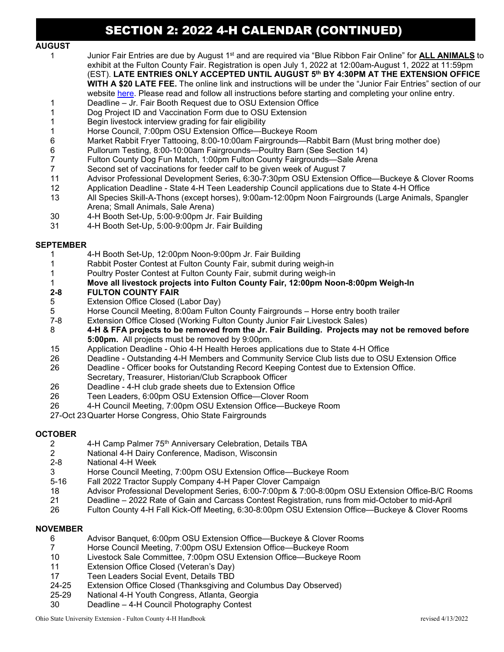# SECTION 2: 2022 4-H CALENDAR (CONTINUED)

## **AUGUST**

 1 Junior Fair Entries are due by August 1st and are required via "Blue Ribbon Fair Online" for **ALL ANIMALS** to exhibit at the Fulton County Fair. Registration is open July 1, 2022 at 12:00am-August 1, 2022 at 11:59pm (EST). **LATE ENTRIES ONLY ACCEPTED UNTIL AUGUST 5th BY 4:30PM AT THE EXTENSION OFFICE**

**WITH A \$20 LATE FEE.** The online link and instructions will be under the "Junior Fair Entries" section of our website [here.](https://fulton.osu.edu/program-areas/4-h-youth-development/junior-fair-forms) Please read and follow all instructions before starting and completing your online entry.

- 1 Deadline Jr. Fair Booth Request due to OSU Extension Office
- 1 Dog Project ID and Vaccination Form due to OSU Extension
- 1 Begin livestock interview grading for fair eligibility<br>1 Horse Council. 7:00pm OSU Extension Office—B
- 1 Horse Council, 7:00pm OSU Extension Office—Buckeye Room<br>6 Market Rabbit Fryer Tattooing, 8:00-10:00am Fairgrounds—Rak
- 6 Market Rabbit Fryer Tattooing, 8:00-10:00am Fairgrounds—Rabbit Barn (Must bring mother doe)
- 6 Pullorum Testing, 8:00-10:00am Fairgrounds—Poultry Barn (See Section 14)
- 7 Fulton County Dog Fun Match, 1:00pm Fulton County Fairgrounds—Sale Arena
- 7 Second set of vaccinations for feeder calf to be given week of August 7
- 11 Advisor Professional Development Series, 6:30-7:30pm OSU Extension Office—Buckeye & Clover Rooms<br>12 Application Deadline State 4-H Teen Leadership Council applications due to State 4-H Office
- 12 Application Deadline State 4-H Teen Leadership Council applications due to State 4-H Office
- 13 All Species Skill-A-Thons (except horses), 9:00am-12:00pm Noon Fairgrounds (Large Animals, Spangler Arena; Small Animals, Sale Arena)
- 30 4-H Booth Set-Up, 5:00-9:00pm Jr. Fair Building
- 31 4-H Booth Set-Up, 5:00-9:00pm Jr. Fair Building

#### **SEPTEMBER**

- 1 4-H Booth Set-Up, 12:00pm Noon-9:00pm Jr. Fair Building
- 1 Rabbit Poster Contest at Fulton County Fair, submit during weigh-in
- Poultry Poster Contest at Fulton County Fair, submit during weigh-in
- 1 **Move all livestock projects into Fulton County Fair, 12:00pm Noon-8:00pm Weigh-In**
- **2-8 FULTON COUNTY FAIR**<br>5 Extension Office Closed (
- Extension Office Closed (Labor Day)
- 5 Horse Council Meeting, 8:00am Fulton County Fairgrounds Horse entry booth trailer
- 7-8 Extension Office Closed (Working Fulton County Junior Fair Livestock Sales)
- 8 **4-H & FFA projects to be removed from the Jr. Fair Building. Projects may not be removed before 5:00pm.** All projects must be removed by 9:00pm.
- 15 Application Deadline Ohio 4-H Health Heroes applications due to State 4-H Office
- 26 Deadline Outstanding 4-H Members and Community Service Club lists due to OSU Extension Office
- 26 Deadline Officer books for Outstanding Record Keeping Contest due to Extension Office.
- Secretary, Treasurer, Historian/Club Scrapbook Officer<br>26 Deadline 4-H club grade sheets due to Extension Offic
- Deadline 4-H club grade sheets due to Extension Office
- 26 Teen Leaders, 6:00pm OSU Extension Office—Clover Room
- 26 4-H Council Meeting, 7:00pm OSU Extension Office—Buckeye Room
- 27-Oct 23Quarter Horse Congress, Ohio State Fairgrounds

# **OCTOBER**

- 2 4-H Camp Palmer 75<sup>th</sup> Anniversary Celebration, Details TBA<br>2 National 4-H Dairy Conference, Madison, Wisconsin
- National 4-H Dairy Conference, Madison, Wisconsin
- 2-8 National 4-H Week
- 3 Horse Council Meeting, 7:00pm OSU Extension Office—Buckeye Room
- 5-16 Fall 2022 Tractor Supply Company 4-H Paper Clover Campaign
- 18 Advisor Professional Development Series, 6:00-7:00pm & 7:00-8:00pm OSU Extension Office-B/C Rooms<br>21 Deadline 2022 Rate of Gain and Carcass Contest Registration, runs from mid-October to mid-April
- 21 Deadline 2022 Rate of Gain and Carcass Contest Registration, runs from mid-October to mid-April
- 26 Fulton County 4-H Fall Kick-Off Meeting, 6:30-8:00pm OSU Extension Office—Buckeye & Clover Rooms

#### **NOVEMBER**

- 6 Advisor Banquet, 6:00pm OSU Extension Office—Buckeye & Clover Rooms
- 7 Horse Council Meeting, 7:00pm OSU Extension Office—Buckeye Room
- Livestock Sale Committee, 7:00pm OSU Extension Office-Buckeye Room
- 11 Extension Office Closed (Veteran's Day)
- 
- 17 Teen Leaders Social Event, Details TBD<br>24-25 Extension Office Closed (Thanksgiving a 24-25 Extension Office Closed (Thanksgiving and Columbus Day Observed)<br>25-29 National 4-H Youth Congress, Atlanta, Georgia
- National 4-H Youth Congress, Atlanta, Georgia
- 30 Deadline 4-H Council Photography Contest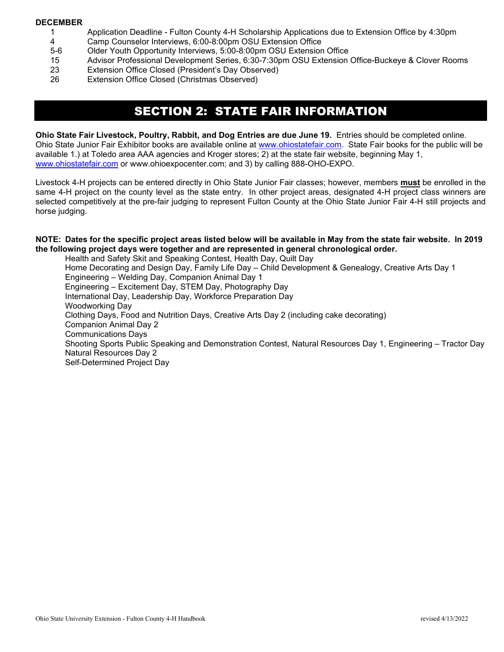#### **DECEMBER**

- 1 Application Deadline Fulton County 4-H Scholarship Applications due to Extension Office by 4:30pm
- 4 Camp Counselor Interviews, 6:00-8:00pm OSU Extension Office
- 5-6 Older Youth Opportunity Interviews, 5:00-8:00pm OSU Extension Office
- 15 Advisor Professional Development Series, 6:30-7:30pm OSU Extension Office-Buckeye & Clover Rooms
- 23 Extension Office Closed (President's Day Observed)<br>26 Extension Office Closed (Christmas Observed)
- Extension Office Closed (Christmas Observed)

# SECTION 2: STATE FAIR INFORMATION

**Ohio State Fair Livestock, Poultry, Rabbit, and Dog Entries are due June 19.** Entries should be completed online. Ohio State Junior Fair Exhibitor books are available online at [www.ohiostatefair.com.](http://www.ohiostatefair.com/) State Fair books for the public will be available 1.) at Toledo area AAA agencies and Kroger stores; 2) at the state fair website, beginning May 1, [www.ohiostatefair.com](http://www.ohiostatefair.com/) or www.ohioexpocenter.com; and 3) by calling 888-OHO-EXPO.

Livestock 4-H projects can be entered directly in Ohio State Junior Fair classes; however, members **must** be enrolled in the same 4-H project on the county level as the state entry. In other project areas, designated 4-H project class winners are selected competitively at the pre-fair judging to represent Fulton County at the Ohio State Junior Fair 4-H still projects and horse judging.

#### **NOTE: Dates for the specific project areas listed below will be available in May from the state fair website. In 2019 the following project days were together and are represented in general chronological order.**

Health and Safety Skit and Speaking Contest, Health Day, Quilt Day Home Decorating and Design Day, Family Life Day – Child Development & Genealogy, Creative Arts Day 1 Engineering – Welding Day, Companion Animal Day 1 Engineering – Excitement Day, STEM Day, Photography Day International Day, Leadership Day, Workforce Preparation Day Woodworking Day Clothing Days, Food and Nutrition Days, Creative Arts Day 2 (including cake decorating) Companion Animal Day 2 Communications Days Shooting Sports Public Speaking and Demonstration Contest, Natural Resources Day 1, Engineering – Tractor Day Natural Resources Day 2 Self-Determined Project Day